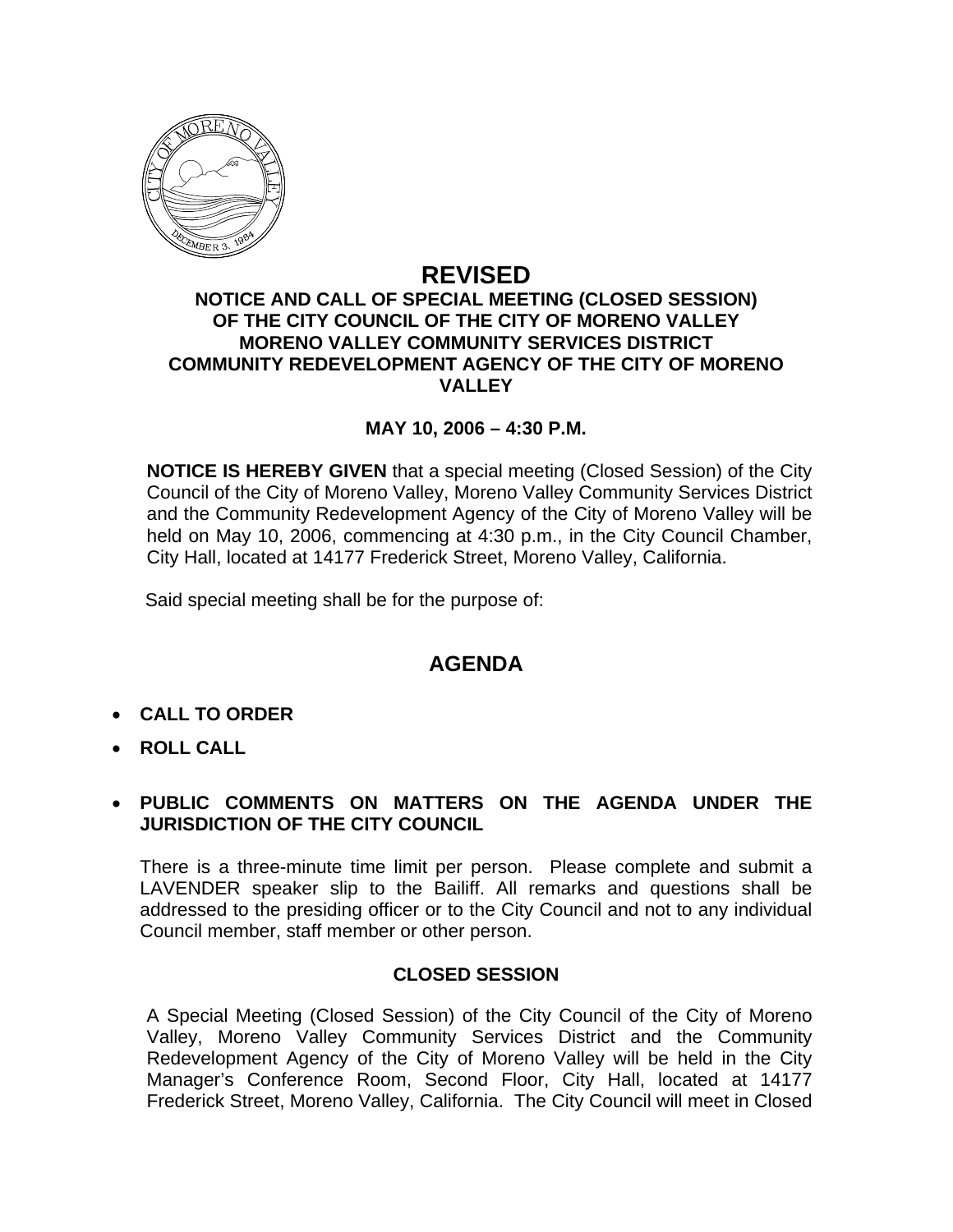

### **REVISED NOTICE AND CALL OF SPECIAL MEETING (CLOSED SESSION) OF THE CITY COUNCIL OF THE CITY OF MORENO VALLEY MORENO VALLEY COMMUNITY SERVICES DISTRICT COMMUNITY REDEVELOPMENT AGENCY OF THE CITY OF MORENO VALLEY**

### **MAY 10, 2006 – 4:30 P.M.**

**NOTICE IS HEREBY GIVEN** that a special meeting (Closed Session) of the City Council of the City of Moreno Valley, Moreno Valley Community Services District and the Community Redevelopment Agency of the City of Moreno Valley will be held on May 10, 2006, commencing at 4:30 p.m., in the City Council Chamber, City Hall, located at 14177 Frederick Street, Moreno Valley, California.

Said special meeting shall be for the purpose of:

# **AGENDA**

- **CALL TO ORDER**
- **ROLL CALL**

### • **PUBLIC COMMENTS ON MATTERS ON THE AGENDA UNDER THE JURISDICTION OF THE CITY COUNCIL**

There is a three-minute time limit per person. Please complete and submit a LAVENDER speaker slip to the Bailiff. All remarks and questions shall be addressed to the presiding officer or to the City Council and not to any individual Council member, staff member or other person.

### **CLOSED SESSION**

A Special Meeting (Closed Session) of the City Council of the City of Moreno Valley, Moreno Valley Community Services District and the Community Redevelopment Agency of the City of Moreno Valley will be held in the City Manager's Conference Room, Second Floor, City Hall, located at 14177 Frederick Street, Moreno Valley, California. The City Council will meet in Closed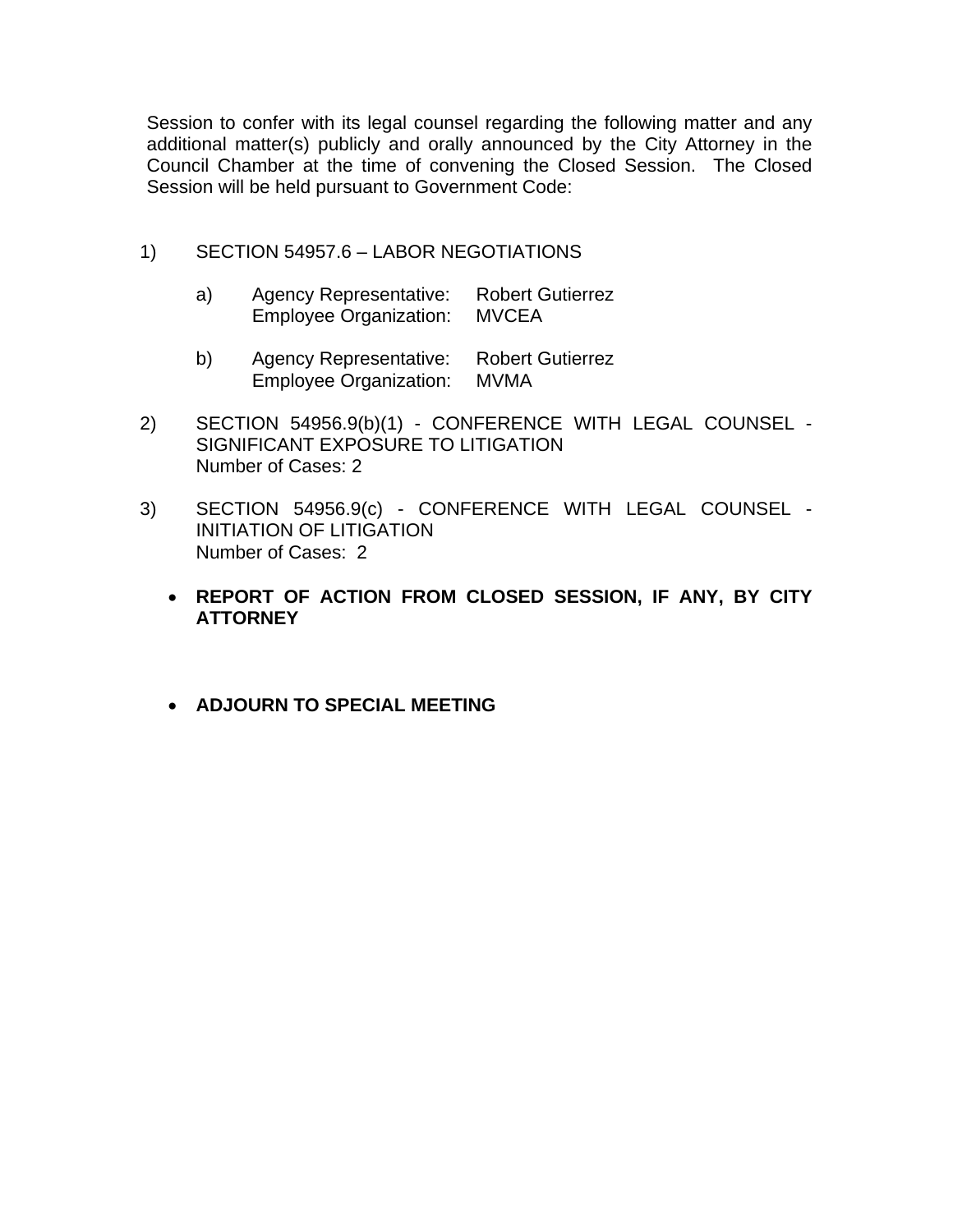Session to confer with its legal counsel regarding the following matter and any additional matter(s) publicly and orally announced by the City Attorney in the Council Chamber at the time of convening the Closed Session. The Closed Session will be held pursuant to Government Code:

### 1) SECTION 54957.6 – LABOR NEGOTIATIONS

- a) Agency Representative: Robert Gutierrez Employee Organization: MVCEA
- b) Agency Representative: Robert Gutierrez Employee Organization: MVMA
- 2) SECTION 54956.9(b)(1) CONFERENCE WITH LEGAL COUNSEL SIGNIFICANT EXPOSURE TO LITIGATION Number of Cases: 2
- 3) SECTION 54956.9(c) CONFERENCE WITH LEGAL COUNSEL INITIATION OF LITIGATION Number of Cases: 2
	- **REPORT OF ACTION FROM CLOSED SESSION, IF ANY, BY CITY ATTORNEY**
	- **ADJOURN TO SPECIAL MEETING**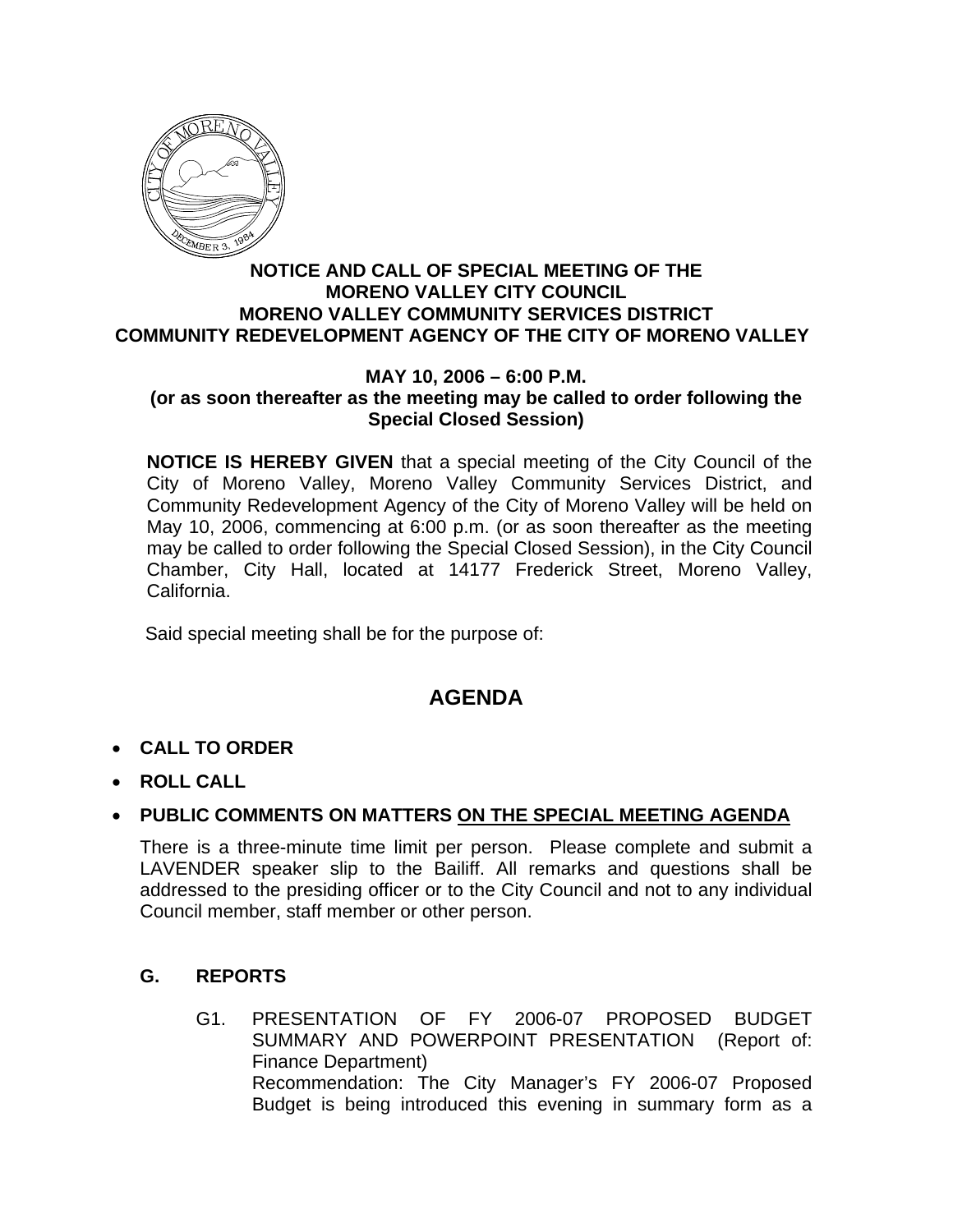

#### **NOTICE AND CALL OF SPECIAL MEETING OF THE MORENO VALLEY CITY COUNCIL MORENO VALLEY COMMUNITY SERVICES DISTRICT COMMUNITY REDEVELOPMENT AGENCY OF THE CITY OF MORENO VALLEY**

#### **MAY 10, 2006 – 6:00 P.M. (or as soon thereafter as the meeting may be called to order following the Special Closed Session)**

**NOTICE IS HEREBY GIVEN** that a special meeting of the City Council of the City of Moreno Valley, Moreno Valley Community Services District, and Community Redevelopment Agency of the City of Moreno Valley will be held on May 10, 2006, commencing at 6:00 p.m. (or as soon thereafter as the meeting may be called to order following the Special Closed Session), in the City Council Chamber, City Hall, located at 14177 Frederick Street, Moreno Valley, California.

Said special meeting shall be for the purpose of:

# **AGENDA**

- **CALL TO ORDER**
- **ROLL CALL**

# • **PUBLIC COMMENTS ON MATTERS ON THE SPECIAL MEETING AGENDA**

There is a three-minute time limit per person. Please complete and submit a LAVENDER speaker slip to the Bailiff. All remarks and questions shall be addressed to the presiding officer or to the City Council and not to any individual Council member, staff member or other person.

## **G. REPORTS**

G1. PRESENTATION OF FY 2006-07 PROPOSED BUDGET SUMMARY AND POWERPOINT PRESENTATION (Report of: Finance Department) Recommendation: The City Manager's FY 2006-07 Proposed Budget is being introduced this evening in summary form as a